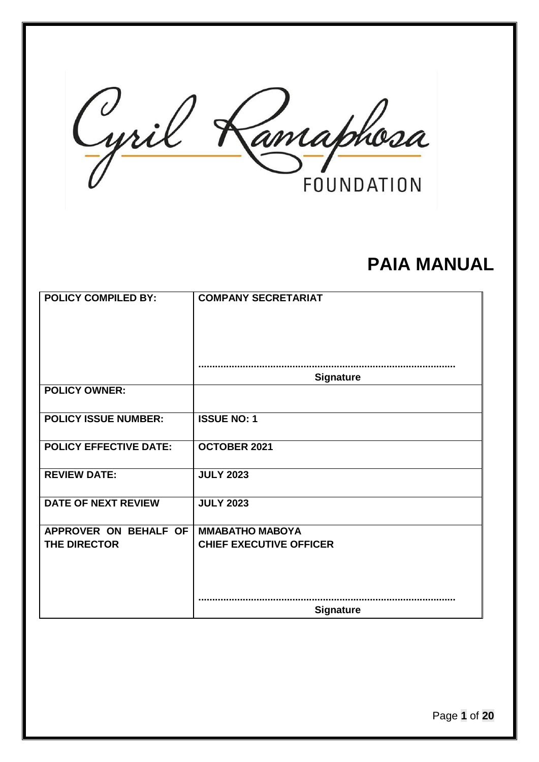Cyril Kamaphosa **FOUNDATION** 

# **PAIA MANUAL**

| <b>POLICY COMPILED BY:</b>    | <b>COMPANY SECRETARIAT</b>     |
|-------------------------------|--------------------------------|
|                               |                                |
|                               | <b>Signature</b>               |
| <b>POLICY OWNER:</b>          |                                |
| <b>POLICY ISSUE NUMBER:</b>   | <b>ISSUE NO: 1</b>             |
| <b>POLICY EFFECTIVE DATE:</b> | OCTOBER 2021                   |
| <b>REVIEW DATE:</b>           | <b>JULY 2023</b>               |
| <b>DATE OF NEXT REVIEW</b>    | <b>JULY 2023</b>               |
| APPROVER ON BEHALF OF         | <b>MMABATHO MABOYA</b>         |
| THE DIRECTOR                  | <b>CHIEF EXECUTIVE OFFICER</b> |
|                               |                                |
|                               | <b>Signature</b>               |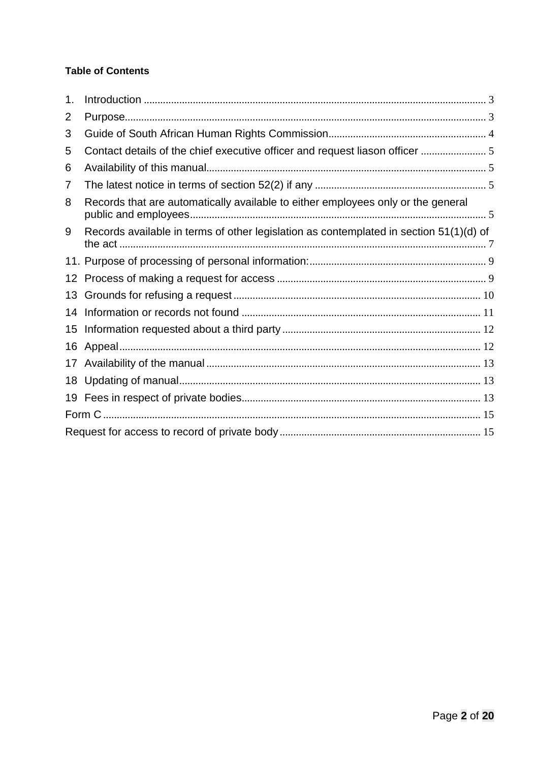# **Table of Contents**

| 1. |                                                                                        |  |
|----|----------------------------------------------------------------------------------------|--|
| 2  |                                                                                        |  |
| 3  |                                                                                        |  |
| 5  |                                                                                        |  |
| 6  |                                                                                        |  |
| 7  |                                                                                        |  |
| 8  | Records that are automatically available to either employees only or the general       |  |
| 9  | Records available in terms of other legislation as contemplated in section 51(1)(d) of |  |
|    |                                                                                        |  |
|    |                                                                                        |  |
| 13 |                                                                                        |  |
| 14 |                                                                                        |  |
| 15 |                                                                                        |  |
| 16 |                                                                                        |  |
| 17 |                                                                                        |  |
|    |                                                                                        |  |
|    |                                                                                        |  |
|    |                                                                                        |  |
|    |                                                                                        |  |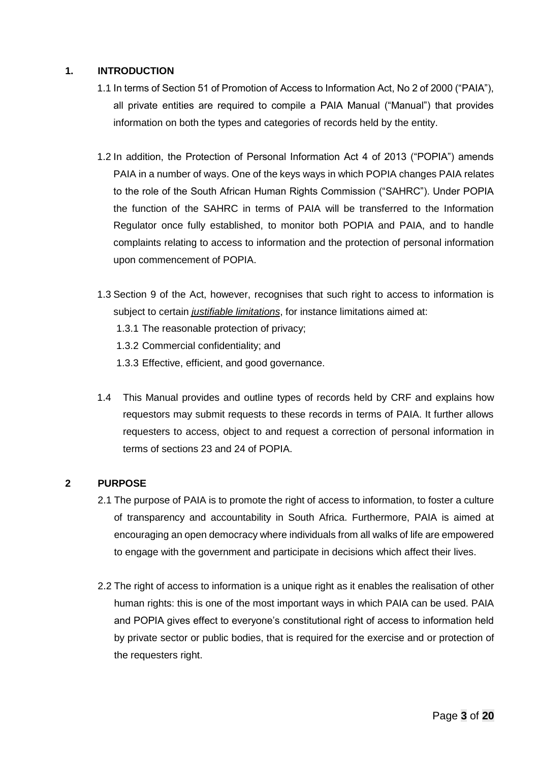#### <span id="page-2-0"></span>**1. INTRODUCTION**

- 1.1 In terms of Section 51 of Promotion of Access to Information Act, No 2 of 2000 ("PAIA"), all private entities are required to compile a PAIA Manual ("Manual") that provides information on both the types and categories of records held by the entity.
- 1.2 In addition, the Protection of Personal Information Act 4 of 2013 ("POPIA") amends PAIA in a number of ways. One of the keys ways in which POPIA changes PAIA relates to the role of the South African Human Rights Commission ("SAHRC"). Under POPIA the function of the SAHRC in terms of PAIA will be transferred to the Information Regulator once fully established, to monitor both POPIA and PAIA, and to handle complaints relating to access to information and the protection of personal information upon commencement of POPIA.
- 1.3 Section 9 of the Act, however, recognises that such right to access to information is subject to certain *justifiable limitations*, for instance limitations aimed at:
	- 1.3.1 The reasonable protection of privacy;
	- 1.3.2 Commercial confidentiality; and
	- 1.3.3 Effective, efficient, and good governance.
- 1.4 This Manual provides and outline types of records held by CRF and explains how requestors may submit requests to these records in terms of PAIA. It further allows requesters to access, object to and request a correction of personal information in terms of sections 23 and 24 of POPIA.

#### <span id="page-2-1"></span>**2 PURPOSE**

- 2.1 The purpose of PAIA is to promote the right of access to information, to foster a culture of transparency and accountability in South Africa. Furthermore, PAIA is aimed at encouraging an open democracy where individuals from all walks of life are empowered to engage with the government and participate in decisions which affect their lives.
- 2.2 The right of access to information is a unique right as it enables the realisation of other human rights: this is one of the most important ways in which PAIA can be used. PAIA and POPIA gives effect to everyone's constitutional right of access to information held by private sector or public bodies, that is required for the exercise and or protection of the requesters right.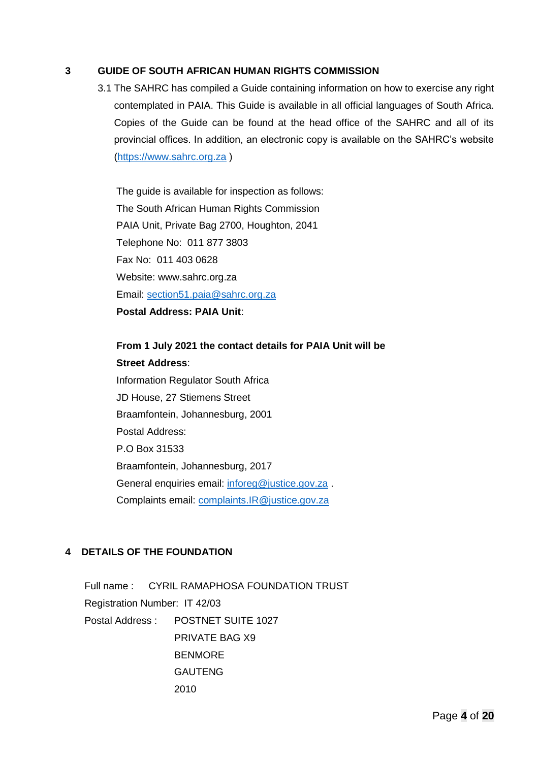#### <span id="page-3-0"></span>**3 GUIDE OF SOUTH AFRICAN HUMAN RIGHTS COMMISSION**

3.1 The SAHRC has compiled a Guide containing information on how to exercise any right contemplated in PAIA. This Guide is available in all official languages of South Africa. Copies of the Guide can be found at the head office of the SAHRC and all of its provincial offices. In addition, an electronic copy is available on the SAHRC's website [\(https://www.sahrc.org.za](https://www.sahrc.org.za/) )

The guide is available for inspection as follows: The South African Human Rights Commission PAIA Unit, Private Bag 2700, Houghton, 2041 Telephone No: 011 877 3803 Fax No: 011 403 0628 Website: www.sahrc.org.za Email: [section51.paia@sahrc.org.za](mailto:section51.paia@sahrc.org.za) **Postal Address: PAIA Unit**:

**From 1 July 2021 the contact details for PAIA Unit will be Street Address**: Information Regulator South Africa JD House, 27 Stiemens Street Braamfontein, Johannesburg, 2001 Postal Address: P.O Box 31533 Braamfontein, Johannesburg, 2017 General enquiries email: [inforeg@justice.gov.za](mailto:inforeg@justice.gov.za). Complaints email: [complaints.IR@justice.gov.za](mailto:complaints.IR@justice.gov.za)

#### **4 DETAILS OF THE FOUNDATION**

Full name : CYRIL RAMAPHOSA FOUNDATION TRUST Registration Number: IT 42/03 Postal Address : POSTNET SUITE 1027 PRIVATE BAG X9 BENMORE GAUTENG 2010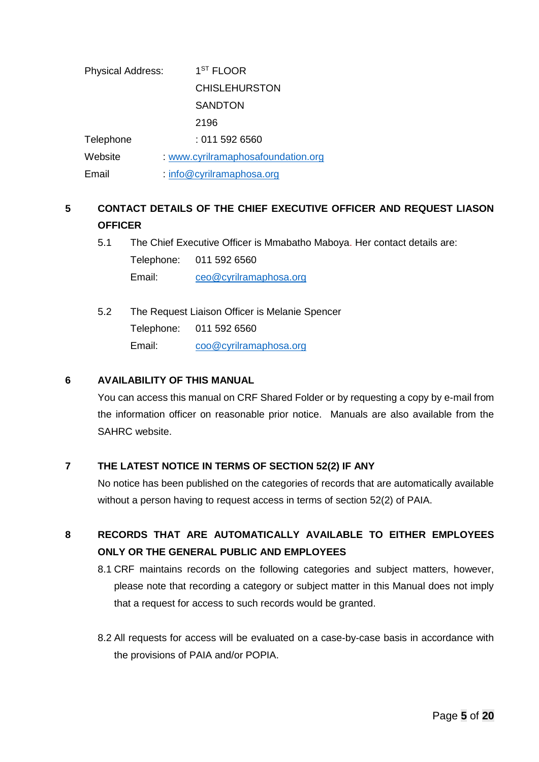| <b>Physical Address:</b> | 1 <sup>ST</sup> FLOOR            |
|--------------------------|----------------------------------|
|                          | <b>CHISLEHURSTON</b>             |
|                          | <b>SANDTON</b>                   |
|                          | 2196                             |
| Telephone                | : 011 592 6560                   |
| Website                  | www.cyrilramaphosafoundation.org |
| Email                    | : info@cyrilramaphosa.org        |

# <span id="page-4-0"></span>**5 CONTACT DETAILS OF THE CHIEF EXECUTIVE OFFICER AND REQUEST LIASON OFFICER**

5.1 The Chief Executive Officer is Mmabatho Maboya. Her contact details are:

Telephone: 011 592 6560

Email: [ceo@cyrilramaphosa.org](mailto:ceo@cyrilramaphosa.org)

5.2 The Request Liaison Officer is Melanie Spencer Telephone: 011 592 6560 Email: [coo@cyrilramaphosa.org](mailto:coo@cyrilramaphosa.org)

### <span id="page-4-1"></span>**6 AVAILABILITY OF THIS MANUAL**

You can access this manual on CRF Shared Folder or by requesting a copy by e-mail from the information officer on reasonable prior notice. Manuals are also available from the SAHRC website.

### <span id="page-4-2"></span>**7 THE LATEST NOTICE IN TERMS OF SECTION 52(2) IF ANY**

No notice has been published on the categories of records that are automatically available without a person having to request access in terms of section 52(2) of PAIA.

# <span id="page-4-3"></span>**8 RECORDS THAT ARE AUTOMATICALLY AVAILABLE TO EITHER EMPLOYEES ONLY OR THE GENERAL PUBLIC AND EMPLOYEES**

- 8.1 CRF maintains records on the following categories and subject matters, however, please note that recording a category or subject matter in this Manual does not imply that a request for access to such records would be granted.
- 8.2 All requests for access will be evaluated on a case-by-case basis in accordance with the provisions of PAIA and/or POPIA.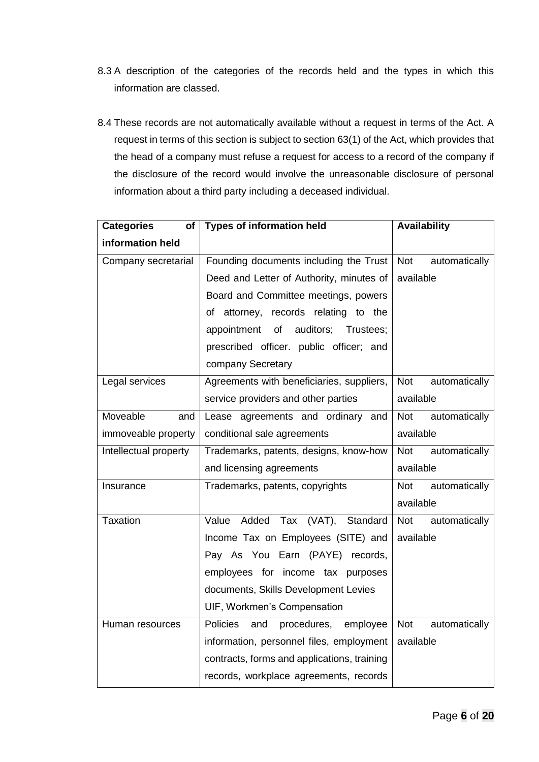- 8.3 A description of the categories of the records held and the types in which this information are classed.
- 8.4 These records are not automatically available without a request in terms of the Act. A request in terms of this section is subject to section 63(1) of the Act, which provides that the head of a company must refuse a request for access to a record of the company if the disclosure of the record would involve the unreasonable disclosure of personal information about a third party including a deceased individual.

| <b>Categories</b><br>of | <b>Types of information held</b>            | <b>Availability</b>         |
|-------------------------|---------------------------------------------|-----------------------------|
| information held        |                                             |                             |
| Company secretarial     | Founding documents including the Trust      | Not<br>automatically        |
|                         | Deed and Letter of Authority, minutes of    | available                   |
|                         | Board and Committee meetings, powers        |                             |
|                         | of attorney, records relating to the        |                             |
|                         | auditors;<br>appointment<br>of<br>Trustees; |                             |
|                         | prescribed officer. public officer; and     |                             |
|                         | company Secretary                           |                             |
| Legal services          | Agreements with beneficiaries, suppliers,   | automatically<br><b>Not</b> |
|                         | service providers and other parties         | available                   |
| Moveable<br>and         | Lease agreements and ordinary and           | <b>Not</b><br>automatically |
| immoveable property     | conditional sale agreements                 | available                   |
| Intellectual property   | Trademarks, patents, designs, know-how      | automatically<br><b>Not</b> |
|                         | and licensing agreements                    | available                   |
| Insurance               | Trademarks, patents, copyrights             | automatically<br><b>Not</b> |
|                         |                                             | available                   |
| Taxation                | Added<br>Tax (VAT), Standard<br>Value       | <b>Not</b><br>automatically |
|                         | Income Tax on Employees (SITE) and          | available                   |
|                         | Pay As You Earn (PAYE) records,             |                             |
|                         | employees for income tax purposes           |                             |
|                         | documents, Skills Development Levies        |                             |
|                         | UIF, Workmen's Compensation                 |                             |
| Human resources         | Policies<br>and<br>procedures,<br>employee  | automatically<br>Not        |
|                         | information, personnel files, employment    | available                   |
|                         | contracts, forms and applications, training |                             |
|                         | records, workplace agreements, records      |                             |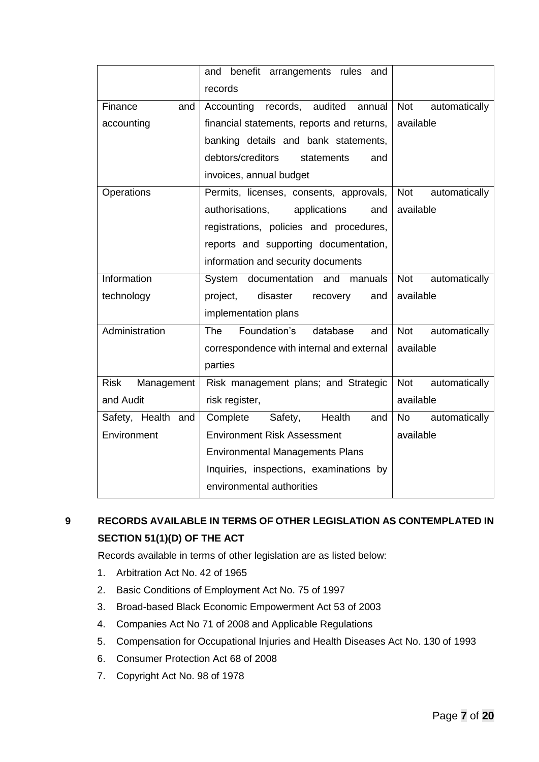|                           | and benefit arrangements rules<br>and       |                             |
|---------------------------|---------------------------------------------|-----------------------------|
|                           | records                                     |                             |
| Finance<br>and            | records,<br>audited<br>annual<br>Accounting | <b>Not</b><br>automatically |
| accounting                | financial statements, reports and returns,  | available                   |
|                           | banking details and bank statements,        |                             |
|                           | debtors/creditors<br>statements<br>and      |                             |
|                           | invoices, annual budget                     |                             |
| Operations                | Permits, licenses, consents, approvals,     | Not<br>automatically        |
|                           | authorisations,<br>applications<br>and      | available                   |
|                           | registrations, policies and procedures,     |                             |
|                           | reports and supporting documentation,       |                             |
|                           | information and security documents          |                             |
| Information               | documentation and manuals<br>System         | <b>Not</b><br>automatically |
| technology                | project,<br>disaster<br>recovery<br>and     | available                   |
|                           | implementation plans                        |                             |
| Administration            | Foundation's<br>The<br>database<br>and      | automatically<br>Not        |
|                           | correspondence with internal and external   | available                   |
|                           | parties                                     |                             |
| <b>Risk</b><br>Management | Risk management plans; and Strategic        | automatically<br>Not        |
| and Audit                 | risk register,                              | available                   |
| Safety, Health and        | Health<br>Complete<br>Safety,<br>and        | automatically<br><b>No</b>  |
| Environment               | <b>Environment Risk Assessment</b>          | available                   |
|                           | <b>Environmental Managements Plans</b>      |                             |
|                           | Inquiries, inspections, examinations by     |                             |
|                           | environmental authorities                   |                             |

# <span id="page-6-0"></span>**9 RECORDS AVAILABLE IN TERMS OF OTHER LEGISLATION AS CONTEMPLATED IN SECTION 51(1)(D) OF THE ACT**

Records available in terms of other legislation are as listed below:

- 1. Arbitration Act No. 42 of 1965
- 2. Basic Conditions of Employment Act No. 75 of 1997
- 3. Broad-based Black Economic Empowerment Act 53 of 2003
- 4. Companies Act No 71 of 2008 and Applicable Regulations
- 5. Compensation for Occupational Injuries and Health Diseases Act No. 130 of 1993
- 6. Consumer Protection Act 68 of 2008
- 7. Copyright Act No. 98 of 1978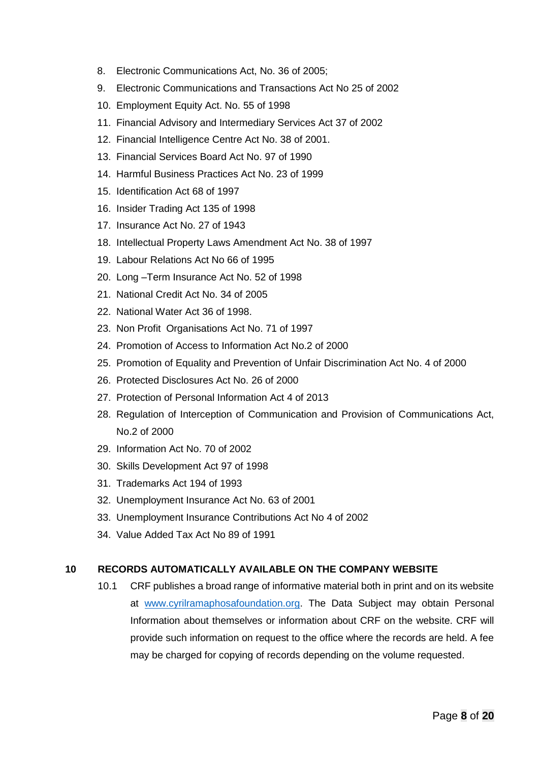- 8. Electronic Communications Act, No. 36 of 2005;
- 9. Electronic Communications and Transactions Act No 25 of 2002
- 10. Employment Equity Act. No. 55 of 1998
- 11. Financial Advisory and Intermediary Services Act 37 of 2002
- 12. Financial Intelligence Centre Act No. 38 of 2001.
- 13. Financial Services Board Act No. 97 of 1990
- 14. Harmful Business Practices Act No. 23 of 1999
- 15. Identification Act 68 of 1997
- 16. Insider Trading Act 135 of 1998
- 17. Insurance Act No. 27 of 1943
- 18. Intellectual Property Laws Amendment Act No. 38 of 1997
- 19. Labour Relations Act No 66 of 1995
- 20. Long –Term Insurance Act No. 52 of 1998
- 21. National Credit Act No. 34 of 2005
- 22. National Water Act 36 of 1998.
- 23. Non Profit Organisations Act No. 71 of 1997
- 24. Promotion of Access to Information Act No.2 of 2000
- 25. Promotion of Equality and Prevention of Unfair Discrimination Act No. 4 of 2000
- 26. Protected Disclosures Act No. 26 of 2000
- 27. Protection of Personal Information Act 4 of 2013
- 28. Regulation of Interception of Communication and Provision of Communications Act, No.2 of 2000
- 29. Information Act No. 70 of 2002
- 30. Skills Development Act 97 of 1998
- 31. Trademarks Act 194 of 1993
- 32. Unemployment Insurance Act No. 63 of 2001
- 33. Unemployment Insurance Contributions Act No 4 of 2002
- 34. Value Added Tax Act No 89 of 1991

#### **10 RECORDS AUTOMATICALLY AVAILABLE ON THE COMPANY WEBSITE**

10.1 CRF publishes a broad range of informative material both in print and on its website at [www.cyrilramaphosafoundation.org.](http://www.blackumbrellas.co.za/) The Data Subject may obtain Personal Information about themselves or information about CRF on the website. CRF will provide such information on request to the office where the records are held. A fee may be charged for copying of records depending on the volume requested.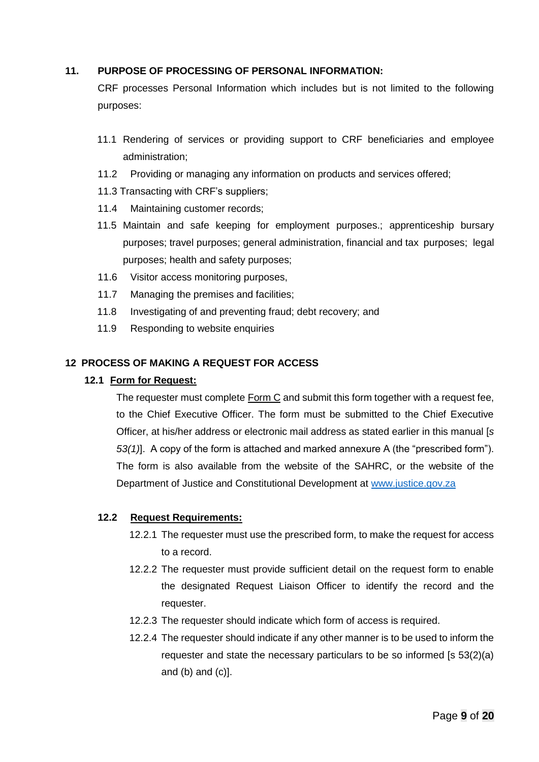#### <span id="page-8-0"></span>**11. PURPOSE OF PROCESSING OF PERSONAL INFORMATION:**

CRF processes Personal Information which includes but is not limited to the following purposes:

- 11.1 Rendering of services or providing support to CRF beneficiaries and employee administration;
- 11.2 Providing or managing any information on products and services offered;
- 11.3 Transacting with CRF's suppliers;
- 11.4 Maintaining customer records;
- 11.5 Maintain and safe keeping for employment purposes.; apprenticeship bursary purposes; travel purposes; general administration, financial and tax purposes; legal purposes; health and safety purposes;
- 11.6 Visitor access monitoring purposes,
- 11.7 Managing the premises and facilities;
- 11.8 Investigating of and preventing fraud; debt recovery; and
- 11.9 Responding to website enquiries

#### <span id="page-8-2"></span><span id="page-8-1"></span>**12 PROCESS OF MAKING A REQUEST FOR ACCESS**

#### **12.1 Form for Request:**

The requester must complete Form C and submit this form together with a request fee, to the Chief Executive Officer. The form must be submitted to the Chief Executive Officer, at his/her address or electronic mail address as stated earlier in this manual [*s 53(1)*]. A copy of the form is attached and marked annexure A (the "prescribed form"). The form is also available from the website of the SAHRC, or the website of the Department of Justice and Constitutional Development at [www.justice.gov.za](http://www.justice.gov.za/)

#### **12.2 Request Requirements:**

- 12.2.1 The requester must use the prescribed form, to make the request for access to a record.
- 12.2.2 The requester must provide sufficient detail on the request form to enable the designated Request Liaison Officer to identify the record and the requester.
- 12.2.3 The requester should indicate which form of access is required.
- 12.2.4 The requester should indicate if any other manner is to be used to inform the requester and state the necessary particulars to be so informed [s 53(2)(a) and  $(b)$  and  $(c)$ ].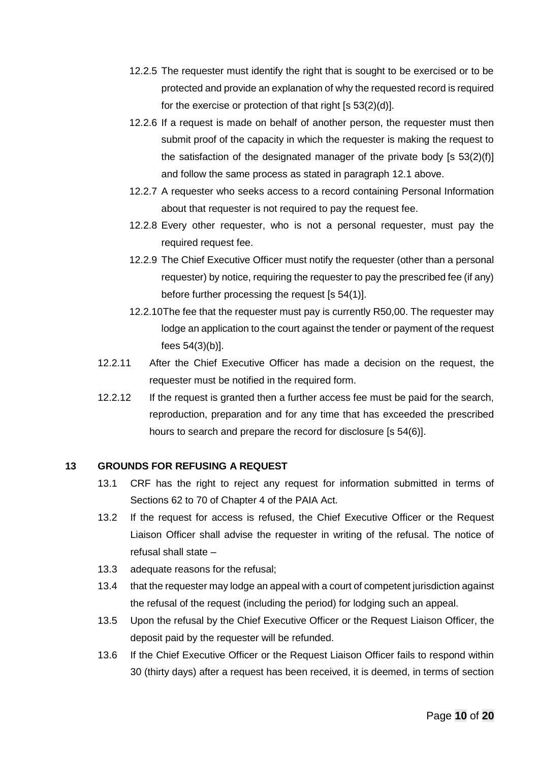- 12.2.5 The requester must identify the right that is sought to be exercised or to be protected and provide an explanation of why the requested record is required for the exercise or protection of that right  $[s 53(2)(d)]$ .
- 12.2.6 If a request is made on behalf of another person, the requester must then submit proof of the capacity in which the requester is making the request to the satisfaction of the designated manager of the private body [s 53(2)(f)] and follow the same process as stated in paragraph [12.1](#page-8-2) above.
- 12.2.7 A requester who seeks access to a record containing Personal Information about that requester is not required to pay the request fee.
- 12.2.8 Every other requester, who is not a personal requester, must pay the required request fee.
- 12.2.9 The Chief Executive Officer must notify the requester (other than a personal requester) by notice, requiring the requester to pay the prescribed fee (if any) before further processing the request [s 54(1)].
- 12.2.10The fee that the requester must pay is currently R50,00. The requester may lodge an application to the court against the tender or payment of the request fees 54(3)(b)].
- 12.2.11 After the Chief Executive Officer has made a decision on the request, the requester must be notified in the required form.
- 12.2.12 If the request is granted then a further access fee must be paid for the search, reproduction, preparation and for any time that has exceeded the prescribed hours to search and prepare the record for disclosure [s 54(6)].

#### <span id="page-9-0"></span>**13 GROUNDS FOR REFUSING A REQUEST**

- 13.1 CRF has the right to reject any request for information submitted in terms of Sections 62 to 70 of Chapter 4 of the PAIA Act.
- 13.2 If the request for access is refused, the Chief Executive Officer or the Request Liaison Officer shall advise the requester in writing of the refusal. The notice of refusal shall state –
- 13.3 adequate reasons for the refusal;
- 13.4 that the requester may lodge an appeal with a court of competent jurisdiction against the refusal of the request (including the period) for lodging such an appeal.
- 13.5 Upon the refusal by the Chief Executive Officer or the Request Liaison Officer, the deposit paid by the requester will be refunded.
- 13.6 If the Chief Executive Officer or the Request Liaison Officer fails to respond within 30 (thirty days) after a request has been received, it is deemed, in terms of section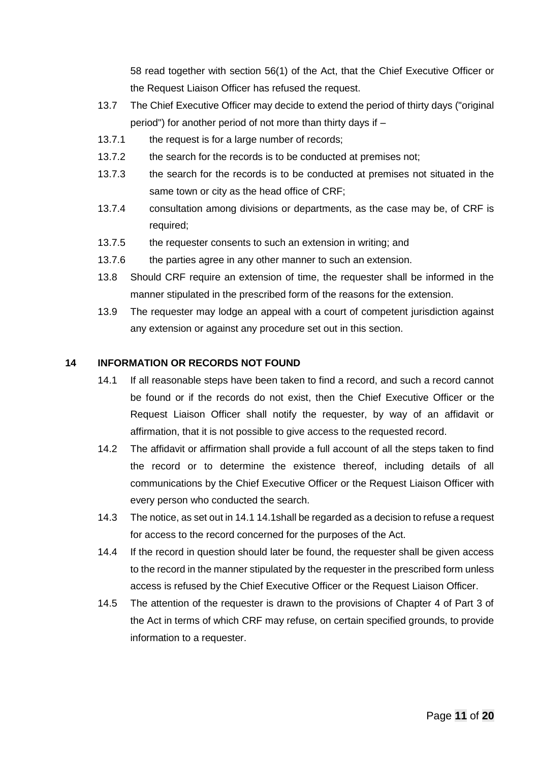58 read together with section 56(1) of the Act, that the Chief Executive Officer or the Request Liaison Officer has refused the request.

- 13.7 The Chief Executive Officer may decide to extend the period of thirty days ("original period") for another period of not more than thirty days if –
- 13.7.1 the request is for a large number of records;
- 13.7.2 the search for the records is to be conducted at premises not;
- 13.7.3 the search for the records is to be conducted at premises not situated in the same town or city as the head office of CRF;
- 13.7.4 consultation among divisions or departments, as the case may be, of CRF is required;
- 13.7.5 the requester consents to such an extension in writing; and
- 13.7.6 the parties agree in any other manner to such an extension.
- 13.8 Should CRF require an extension of time, the requester shall be informed in the manner stipulated in the prescribed form of the reasons for the extension.
- 13.9 The requester may lodge an appeal with a court of competent jurisdiction against any extension or against any procedure set out in this section.

#### <span id="page-10-1"></span><span id="page-10-0"></span>**14 INFORMATION OR RECORDS NOT FOUND**

- 14.1 If all reasonable steps have been taken to find a record, and such a record cannot be found or if the records do not exist, then the Chief Executive Officer or the Request Liaison Officer shall notify the requester, by way of an affidavit or affirmation, that it is not possible to give access to the requested record.
- 14.2 The affidavit or affirmation shall provide a full account of all the steps taken to find the record or to determine the existence thereof, including details of all communications by the Chief Executive Officer or the Request Liaison Officer with every person who conducted the search.
- 14.3 The notice, as set out in 14.1 [14.1s](#page-10-1)hall be regarded as a decision to refuse a request for access to the record concerned for the purposes of the Act.
- 14.4 If the record in question should later be found, the requester shall be given access to the record in the manner stipulated by the requester in the prescribed form unless access is refused by the Chief Executive Officer or the Request Liaison Officer.
- 14.5 The attention of the requester is drawn to the provisions of Chapter 4 of Part 3 of the Act in terms of which CRF may refuse, on certain specified grounds, to provide information to a requester.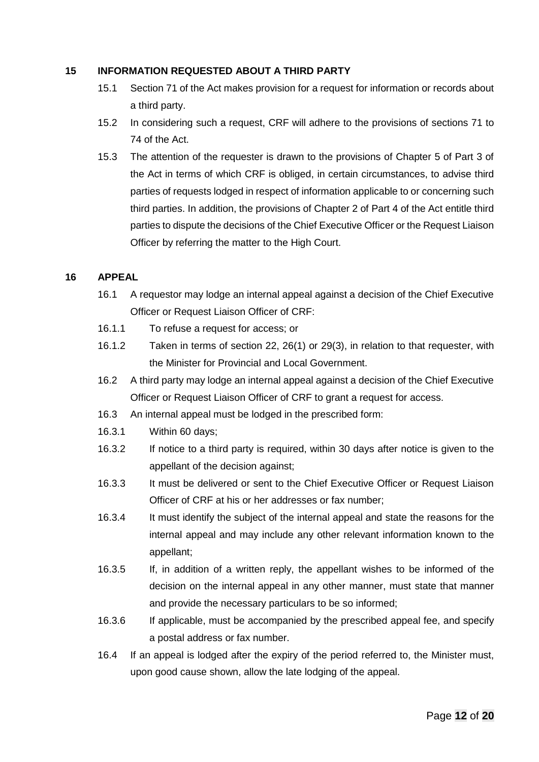#### <span id="page-11-0"></span>**15 INFORMATION REQUESTED ABOUT A THIRD PARTY**

- 15.1 Section 71 of the Act makes provision for a request for information or records about a third party.
- 15.2 In considering such a request, CRF will adhere to the provisions of sections 71 to 74 of the Act.
- 15.3 The attention of the requester is drawn to the provisions of Chapter 5 of Part 3 of the Act in terms of which CRF is obliged, in certain circumstances, to advise third parties of requests lodged in respect of information applicable to or concerning such third parties. In addition, the provisions of Chapter 2 of Part 4 of the Act entitle third parties to dispute the decisions of the Chief Executive Officer or the Request Liaison Officer by referring the matter to the High Court.

#### <span id="page-11-1"></span>**16 APPEAL**

- 16.1 A requestor may lodge an internal appeal against a decision of the Chief Executive Officer or Request Liaison Officer of CRF:
- 16.1.1 To refuse a request for access; or
- 16.1.2 Taken in terms of section 22, 26(1) or 29(3), in relation to that requester, with the Minister for Provincial and Local Government.
- 16.2 A third party may lodge an internal appeal against a decision of the Chief Executive Officer or Request Liaison Officer of CRF to grant a request for access.
- 16.3 An internal appeal must be lodged in the prescribed form:
- 16.3.1 Within 60 days;
- 16.3.2 If notice to a third party is required, within 30 days after notice is given to the appellant of the decision against;
- 16.3.3 It must be delivered or sent to the Chief Executive Officer or Request Liaison Officer of CRF at his or her addresses or fax number;
- 16.3.4 It must identify the subject of the internal appeal and state the reasons for the internal appeal and may include any other relevant information known to the appellant;
- 16.3.5 If, in addition of a written reply, the appellant wishes to be informed of the decision on the internal appeal in any other manner, must state that manner and provide the necessary particulars to be so informed;
- 16.3.6 If applicable, must be accompanied by the prescribed appeal fee, and specify a postal address or fax number.
- 16.4 If an appeal is lodged after the expiry of the period referred to, the Minister must, upon good cause shown, allow the late lodging of the appeal.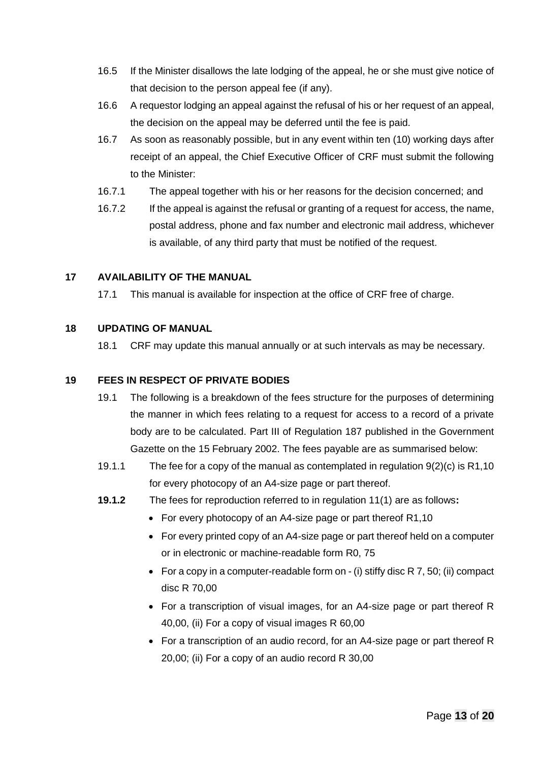- 16.5 If the Minister disallows the late lodging of the appeal, he or she must give notice of that decision to the person appeal fee (if any).
- 16.6 A requestor lodging an appeal against the refusal of his or her request of an appeal, the decision on the appeal may be deferred until the fee is paid.
- 16.7 As soon as reasonably possible, but in any event within ten (10) working days after receipt of an appeal, the Chief Executive Officer of CRF must submit the following to the Minister:
- 16.7.1 The appeal together with his or her reasons for the decision concerned; and
- 16.7.2 If the appeal is against the refusal or granting of a request for access, the name, postal address, phone and fax number and electronic mail address, whichever is available, of any third party that must be notified of the request.

#### <span id="page-12-0"></span>**17 AVAILABILITY OF THE MANUAL**

17.1 This manual is available for inspection at the office of CRF free of charge.

### <span id="page-12-1"></span>**18 UPDATING OF MANUAL**

18.1 CRF may update this manual annually or at such intervals as may be necessary.

### <span id="page-12-2"></span>**19 FEES IN RESPECT OF PRIVATE BODIES**

- 19.1 The following is a breakdown of the fees structure for the purposes of determining the manner in which fees relating to a request for access to a record of a private body are to be calculated. Part III of Regulation 187 published in the Government Gazette on the 15 February 2002. The fees payable are as summarised below:
- 19.1.1 The fee for a copy of the manual as contemplated in regulation 9(2)(c) is R1,10 for every photocopy of an A4-size page or part thereof.
- **19.1.2** The fees for reproduction referred to in regulation 11(1) are as follows**:**
	- For every photocopy of an A4-size page or part thereof R1,10
	- For every printed copy of an A4-size page or part thereof held on a computer or in electronic or machine-readable form R0, 75
	- For a copy in a computer-readable form on  $-$  (i) stiffy disc R 7, 50; (ii) compact disc R 70,00
	- For a transcription of visual images, for an A4-size page or part thereof R 40,00, (ii) For a copy of visual images R 60,00
	- For a transcription of an audio record, for an A4-size page or part thereof R 20,00; (ii) For a copy of an audio record R 30,00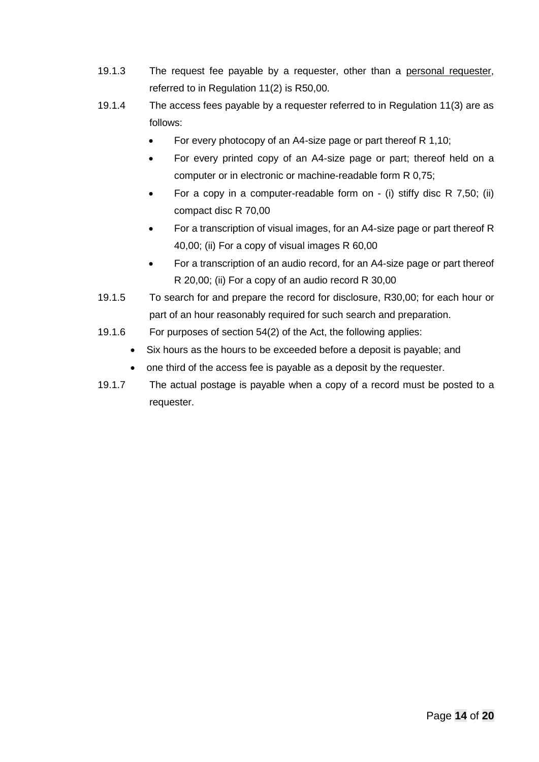- 19.1.3 The request fee payable by a requester, other than a personal requester, referred to in Regulation 11(2) is R50,00.
- 19.1.4 The access fees payable by a requester referred to in Regulation 11(3) are as follows:
	- For every photocopy of an A4-size page or part thereof R 1,10;
	- For every printed copy of an A4-size page or part; thereof held on a computer or in electronic or machine-readable form R 0,75;
	- For a copy in a computer-readable form on (i) stiffy disc R 7,50; (ii) compact disc R 70,00
	- For a transcription of visual images, for an A4-size page or part thereof R 40,00; (ii) For a copy of visual images R 60,00
	- For a transcription of an audio record, for an A4-size page or part thereof R 20,00; (ii) For a copy of an audio record R 30,00
- 19.1.5 To search for and prepare the record for disclosure, R30,00; for each hour or part of an hour reasonably required for such search and preparation.
- 19.1.6 For purposes of section 54(2) of the Act, the following applies:
	- Six hours as the hours to be exceeded before a deposit is payable; and
	- one third of the access fee is payable as a deposit by the requester.
- 19.1.7 The actual postage is payable when a copy of a record must be posted to a requester.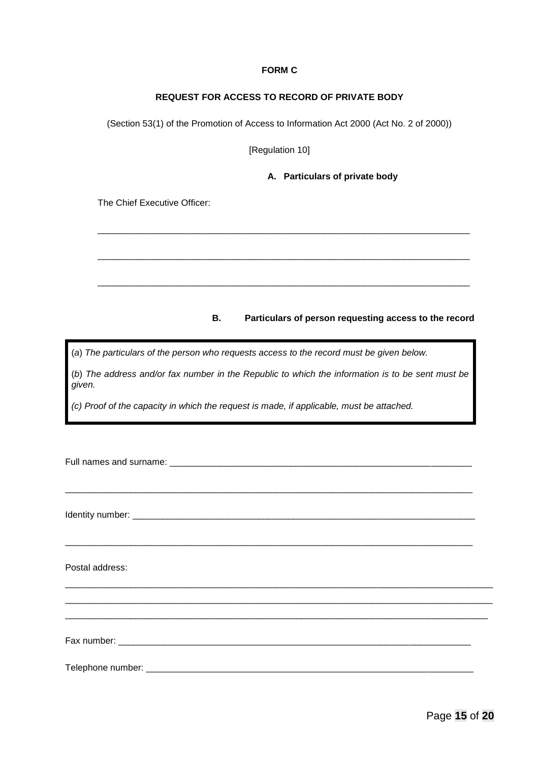#### **FORM C**

#### **REQUEST FOR ACCESS TO RECORD OF PRIVATE BODY**

<span id="page-14-1"></span><span id="page-14-0"></span>(Section 53(1) of the Promotion of Access to Information Act 2000 (Act No. 2 of 2000))

[Regulation 10]

\_\_\_\_\_\_\_\_\_\_\_\_\_\_\_\_\_\_\_\_\_\_\_\_\_\_\_\_\_\_\_\_\_\_\_\_\_\_\_\_\_\_\_\_\_\_\_\_\_\_\_\_\_\_\_\_\_\_\_\_\_\_\_\_\_\_\_\_\_\_\_\_\_\_

\_\_\_\_\_\_\_\_\_\_\_\_\_\_\_\_\_\_\_\_\_\_\_\_\_\_\_\_\_\_\_\_\_\_\_\_\_\_\_\_\_\_\_\_\_\_\_\_\_\_\_\_\_\_\_\_\_\_\_\_\_\_\_\_\_\_\_\_\_\_\_\_\_\_

\_\_\_\_\_\_\_\_\_\_\_\_\_\_\_\_\_\_\_\_\_\_\_\_\_\_\_\_\_\_\_\_\_\_\_\_\_\_\_\_\_\_\_\_\_\_\_\_\_\_\_\_\_\_\_\_\_\_\_\_\_\_\_\_\_\_\_\_\_\_\_\_\_\_

**A. Particulars of private body**

The Chief Executive Officer:

#### **B. Particulars of person requesting access to the record**

(*a*) *The particulars of the person who requests access to the record must be given below.*

(*b*) *The address and/or fax number in the Republic to which the information is to be sent must be given.*

*(c) Proof of the capacity in which the request is made, if applicable, must be attached.*

| Postal address: |
|-----------------|
|                 |
|                 |
|                 |
|                 |
|                 |
|                 |
|                 |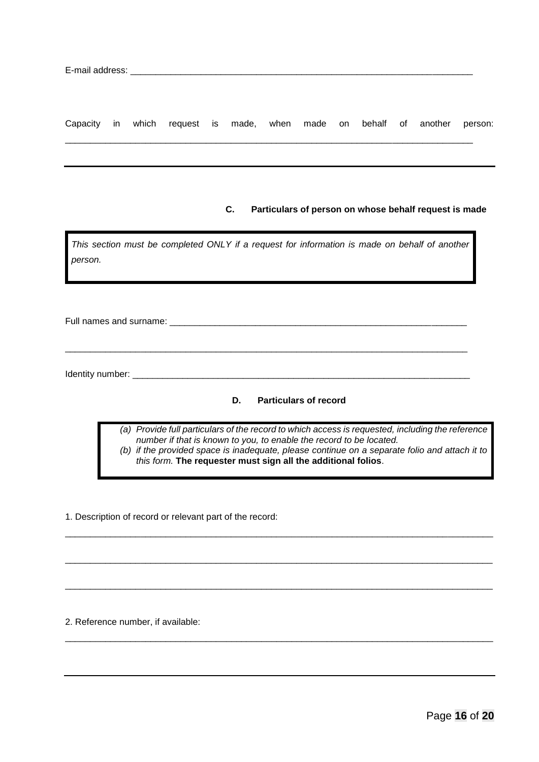|  |  |  |  |  |  | Capacity in which request is made, when made on behalf of another person: |  |
|--|--|--|--|--|--|---------------------------------------------------------------------------|--|
|  |  |  |  |  |  |                                                                           |  |

\_\_\_\_\_\_\_\_\_\_\_\_\_\_\_\_\_\_\_\_\_\_\_\_\_\_\_\_\_\_\_\_\_\_\_\_\_\_\_\_\_\_\_\_\_\_\_\_\_\_\_\_\_\_\_\_\_\_\_\_\_\_\_\_\_\_\_\_\_\_\_\_\_\_\_\_\_\_\_\_\_

#### **C. Particulars of person on whose behalf request is made**

| This section must be completed ONLY if a request for information is made on behalf of another                                                                        |
|----------------------------------------------------------------------------------------------------------------------------------------------------------------------|
| person.                                                                                                                                                              |
|                                                                                                                                                                      |
|                                                                                                                                                                      |
|                                                                                                                                                                      |
| Full names and surname:                                                                                                                                              |
|                                                                                                                                                                      |
|                                                                                                                                                                      |
| Identity number: _______                                                                                                                                             |
|                                                                                                                                                                      |
| <b>Particulars of record</b><br>D.                                                                                                                                   |
|                                                                                                                                                                      |
| Provide full particulars of the record to which access is requested, including the reference<br>(a)                                                                  |
| number if that is known to you, to enable the record to be located.<br>(b) if the provided space is inadequate, please continue on a separate folio and attach it to |
| this form. The requester must sign all the additional folios.                                                                                                        |

\_\_\_\_\_\_\_\_\_\_\_\_\_\_\_\_\_\_\_\_\_\_\_\_\_\_\_\_\_\_\_\_\_\_\_\_\_\_\_\_\_\_\_\_\_\_\_\_\_\_\_\_\_\_\_\_\_\_\_\_\_\_\_\_\_\_\_\_\_\_\_\_\_\_\_\_\_\_\_\_\_\_\_\_\_

\_\_\_\_\_\_\_\_\_\_\_\_\_\_\_\_\_\_\_\_\_\_\_\_\_\_\_\_\_\_\_\_\_\_\_\_\_\_\_\_\_\_\_\_\_\_\_\_\_\_\_\_\_\_\_\_\_\_\_\_\_\_\_\_\_\_\_\_\_\_\_\_\_\_\_\_\_\_\_\_\_\_\_\_\_

\_\_\_\_\_\_\_\_\_\_\_\_\_\_\_\_\_\_\_\_\_\_\_\_\_\_\_\_\_\_\_\_\_\_\_\_\_\_\_\_\_\_\_\_\_\_\_\_\_\_\_\_\_\_\_\_\_\_\_\_\_\_\_\_\_\_\_\_\_\_\_\_\_\_\_\_\_\_\_\_\_\_\_\_\_

\_\_\_\_\_\_\_\_\_\_\_\_\_\_\_\_\_\_\_\_\_\_\_\_\_\_\_\_\_\_\_\_\_\_\_\_\_\_\_\_\_\_\_\_\_\_\_\_\_\_\_\_\_\_\_\_\_\_\_\_\_\_\_\_\_\_\_\_\_\_\_\_\_\_\_\_\_\_\_\_\_\_\_\_\_

1. Description of record or relevant part of the record:

2. Reference number, if available:

ı

Ŧ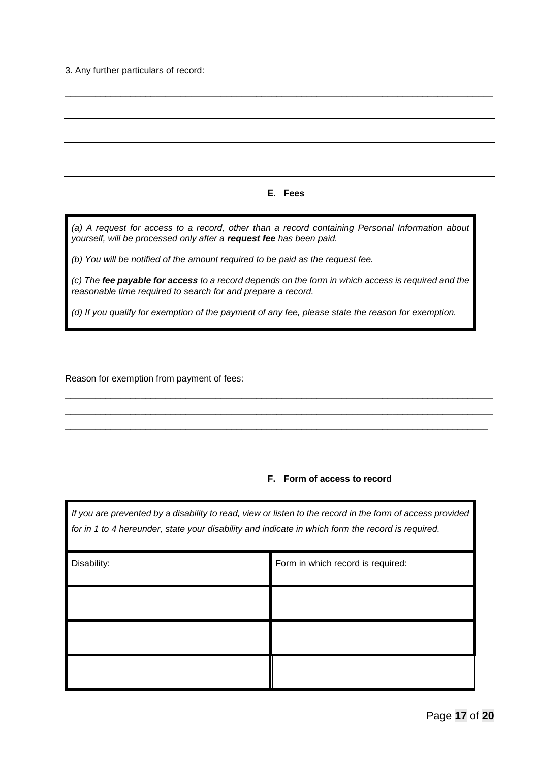3. Any further particulars of record:

#### **E. Fees**

\_\_\_\_\_\_\_\_\_\_\_\_\_\_\_\_\_\_\_\_\_\_\_\_\_\_\_\_\_\_\_\_\_\_\_\_\_\_\_\_\_\_\_\_\_\_\_\_\_\_\_\_\_\_\_\_\_\_\_\_\_\_\_\_\_\_\_\_\_\_\_\_\_\_\_\_\_\_\_\_\_\_\_\_\_

*(a) A request for access to a record, other than a record containing Personal Information about yourself, will be processed only after a request fee has been paid.*

*(b) You will be notified of the amount required to be paid as the request fee.*

*(c) The fee payable for access to a record depends on the form in which access is required and the reasonable time required to search for and prepare a record.*

\_\_\_\_\_\_\_\_\_\_\_\_\_\_\_\_\_\_\_\_\_\_\_\_\_\_\_\_\_\_\_\_\_\_\_\_\_\_\_\_\_\_\_\_\_\_\_\_\_\_\_\_\_\_\_\_\_\_\_\_\_\_\_\_\_\_\_\_\_\_\_\_\_\_\_\_\_\_\_\_\_\_\_\_\_ \_\_\_\_\_\_\_\_\_\_\_\_\_\_\_\_\_\_\_\_\_\_\_\_\_\_\_\_\_\_\_\_\_\_\_\_\_\_\_\_\_\_\_\_\_\_\_\_\_\_\_\_\_\_\_\_\_\_\_\_\_\_\_\_\_\_\_\_\_\_\_\_\_\_\_\_\_\_\_\_\_\_\_\_\_ \_\_\_\_\_\_\_\_\_\_\_\_\_\_\_\_\_\_\_\_\_\_\_\_\_\_\_\_\_\_\_\_\_\_\_\_\_\_\_\_\_\_\_\_\_\_\_\_\_\_\_\_\_\_\_\_\_\_\_\_\_\_\_\_\_\_\_\_\_\_\_\_\_\_\_\_\_\_\_\_\_\_\_\_

*(d) If you qualify for exemption of the payment of any fee, please state the reason for exemption.*

Reason for exemption from payment of fees:

#### **F. Form of access to record**

*If you are prevented by a disability to read, view or listen to the record in the form of access provided for in 1 to 4 hereunder, state your disability and indicate in which form the record is required.*

| Disability: | Form in which record is required: |
|-------------|-----------------------------------|
|             |                                   |
|             |                                   |
|             |                                   |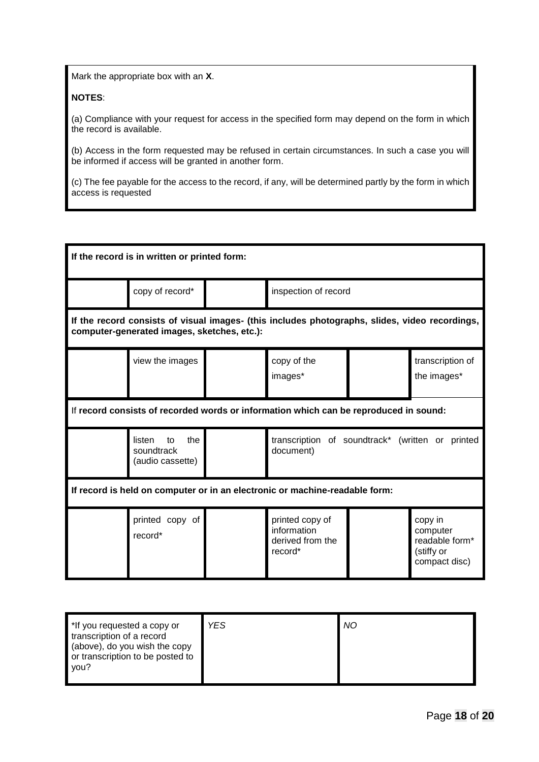Mark the appropriate box with an **X**.

#### **NOTES**:

(a) Compliance with your request for access in the specified form may depend on the form in which the record is available.

(b) Access in the form requested may be refused in certain circumstances. In such a case you will be informed if access will be granted in another form.

(c) The fee payable for the access to the record, if any, will be determined partly by the form in which access is requested

| If the record is in written or printed form:                                          |                                                                                                                                               |                      |                                                               |  |                                                                      |  |  |
|---------------------------------------------------------------------------------------|-----------------------------------------------------------------------------------------------------------------------------------------------|----------------------|---------------------------------------------------------------|--|----------------------------------------------------------------------|--|--|
|                                                                                       | copy of record*                                                                                                                               | inspection of record |                                                               |  |                                                                      |  |  |
|                                                                                       | If the record consists of visual images- (this includes photographs, slides, video recordings,<br>computer-generated images, sketches, etc.): |                      |                                                               |  |                                                                      |  |  |
|                                                                                       | view the images                                                                                                                               |                      | copy of the<br>images*                                        |  | transcription of<br>the images*                                      |  |  |
| If record consists of recorded words or information which can be reproduced in sound: |                                                                                                                                               |                      |                                                               |  |                                                                      |  |  |
|                                                                                       | the<br>listen<br>transcription of soundtrack* (written or printed<br>to<br>soundtrack<br>document)<br>(audio cassette)                        |                      |                                                               |  |                                                                      |  |  |
| If record is held on computer or in an electronic or machine-readable form:           |                                                                                                                                               |                      |                                                               |  |                                                                      |  |  |
|                                                                                       | printed copy of<br>record*                                                                                                                    |                      | printed copy of<br>information<br>derived from the<br>record* |  | copy in<br>computer<br>readable form*<br>(stiffy or<br>compact disc) |  |  |

| YES.<br>*If you requested a copy or<br>transcription of a record<br>(above), do you wish the copy<br>or transcription to be posted to<br>vou? |  | NO |
|-----------------------------------------------------------------------------------------------------------------------------------------------|--|----|
|-----------------------------------------------------------------------------------------------------------------------------------------------|--|----|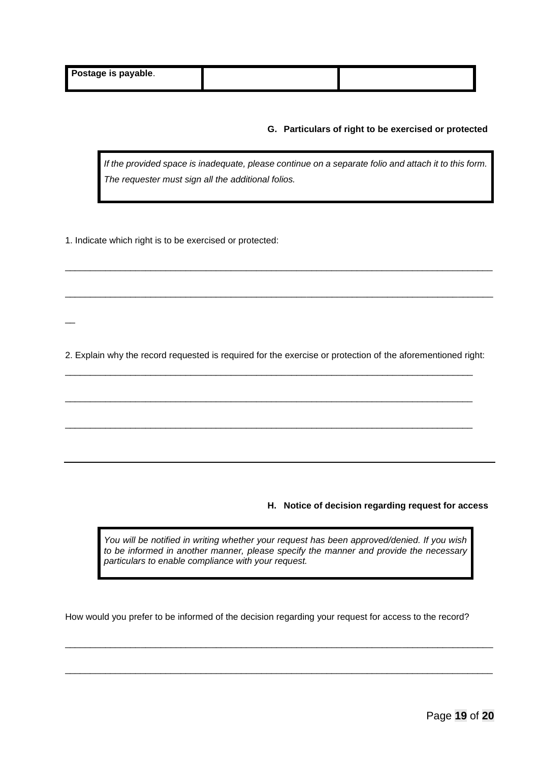$\overline{\phantom{a}}$ 

#### **G. Particulars of right to be exercised or protected**

*If the provided space is inadequate, please continue on a separate folio and attach it to this form. The requester must sign all the additional folios.*

1. Indicate which right is to be exercised or protected:

2. Explain why the record requested is required for the exercise or protection of the aforementioned right:

\_\_\_\_\_\_\_\_\_\_\_\_\_\_\_\_\_\_\_\_\_\_\_\_\_\_\_\_\_\_\_\_\_\_\_\_\_\_\_\_\_\_\_\_\_\_\_\_\_\_\_\_\_\_\_\_\_\_\_\_\_\_\_\_\_\_\_\_\_\_\_\_\_\_\_\_\_\_\_\_\_

\_\_\_\_\_\_\_\_\_\_\_\_\_\_\_\_\_\_\_\_\_\_\_\_\_\_\_\_\_\_\_\_\_\_\_\_\_\_\_\_\_\_\_\_\_\_\_\_\_\_\_\_\_\_\_\_\_\_\_\_\_\_\_\_\_\_\_\_\_\_\_\_\_\_\_\_\_\_\_\_\_

\_\_\_\_\_\_\_\_\_\_\_\_\_\_\_\_\_\_\_\_\_\_\_\_\_\_\_\_\_\_\_\_\_\_\_\_\_\_\_\_\_\_\_\_\_\_\_\_\_\_\_\_\_\_\_\_\_\_\_\_\_\_\_\_\_\_\_\_\_\_\_\_\_\_\_\_\_\_\_\_\_

\_\_\_\_\_\_\_\_\_\_\_\_\_\_\_\_\_\_\_\_\_\_\_\_\_\_\_\_\_\_\_\_\_\_\_\_\_\_\_\_\_\_\_\_\_\_\_\_\_\_\_\_\_\_\_\_\_\_\_\_\_\_\_\_\_\_\_\_\_\_\_\_\_\_\_\_\_\_\_\_\_\_\_\_\_

\_\_\_\_\_\_\_\_\_\_\_\_\_\_\_\_\_\_\_\_\_\_\_\_\_\_\_\_\_\_\_\_\_\_\_\_\_\_\_\_\_\_\_\_\_\_\_\_\_\_\_\_\_\_\_\_\_\_\_\_\_\_\_\_\_\_\_\_\_\_\_\_\_\_\_\_\_\_\_\_\_\_\_\_\_

**H. Notice of decision regarding request for access**

*You will be notified in writing whether your request has been approved/denied. If you wish to be informed in another manner, please specify the manner and provide the necessary particulars to enable compliance with your request.*

How would you prefer to be informed of the decision regarding your request for access to the record?

\_\_\_\_\_\_\_\_\_\_\_\_\_\_\_\_\_\_\_\_\_\_\_\_\_\_\_\_\_\_\_\_\_\_\_\_\_\_\_\_\_\_\_\_\_\_\_\_\_\_\_\_\_\_\_\_\_\_\_\_\_\_\_\_\_\_\_\_\_\_\_\_\_\_\_\_\_\_\_\_\_\_\_\_\_

\_\_\_\_\_\_\_\_\_\_\_\_\_\_\_\_\_\_\_\_\_\_\_\_\_\_\_\_\_\_\_\_\_\_\_\_\_\_\_\_\_\_\_\_\_\_\_\_\_\_\_\_\_\_\_\_\_\_\_\_\_\_\_\_\_\_\_\_\_\_\_\_\_\_\_\_\_\_\_\_\_\_\_\_\_